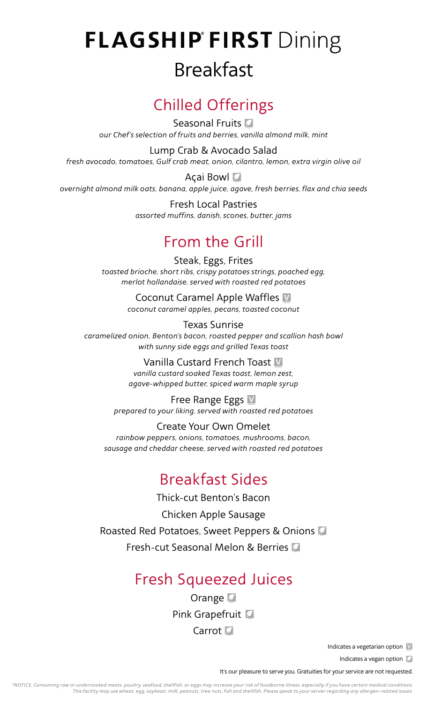# **FLAGSHIP FIRST Dining** Breakfast

## Chilled Offerings

Seasonal Fruits *our Chef's selection of fruits and berries, vanilla almond milk, mint* 

Lump Crab & Avocado Salad *fresh avocado, tomatoes, Gulf crab meat, onion, cilantro, lemon, extra virgin olive oil*

Açai Bowl *overnight almond milk oats, banana, apple juice, agave, fresh berries, flax and chia seeds*

> Fresh Local Pastries *assorted muffins, danish, scones, butter, jams*

### From the Grill

Steak, Eggs, Frites *toasted brioche, short ribs, crispy potatoes strings, poached egg, merlot hollandaise, served with roasted red potatoes*

> Coconut Caramel Apple Waffles V *coconut caramel apples, pecans, toasted coconut*

Texas Sunrise *caramelized onion, Benton's bacon, roasted pepper and scallion hash bowl with sunny side eggs and grilled Texas toast*

> Vanilla Custard French Toast V *vanilla custard soaked Texas toast, lemon zest, agave-whipped butter, spiced warm maple syrup*

Free Range Eggs V *prepared to your liking, served with roasted red potatoes*

Create Your Own Omelet *rainbow peppers, onions, tomatoes, mushrooms, bacon, sausage and cheddar cheese, served with roasted red potatoes*

## Breakfast Sides

Thick-cut Benton's Bacon

Chicken Apple Sausage

Roasted Red Potatoes, Sweet Peppers & Onions

Fresh-cut Seasonal Melon & Berries

#### Fresh Squeezed Juices

**Orange** Pink Grapefruit **L** Carrot<sup>7</sup>

Indicates a vegetarian option V

Indicates a vegan option

It's our pleasure to serve you. Gratuities for your service are not requested.